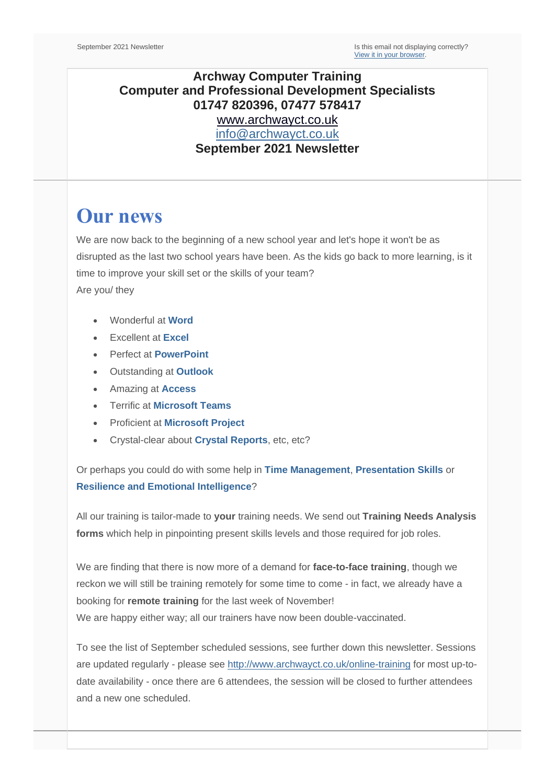## **Archway Computer Training Computer and Professional Development Specialists 01747 820396, 07477 578417** [www.archwayct.co.uk](http://www.archwayct.co.uk/) [info@archwayct.co.uk](mailto:%20info@archwayct.co.uk) **September 2021 Newsletter**

# **Our news**

We are now back to the beginning of a new school year and let's hope it won't be as disrupted as the last two school years have been. As the kids go back to more learning, is it time to improve your skill set or the skills of your team? Are you/ they

- Wonderful at **[Word](http://www.archwayct.co.uk/microsoft-office-training/microsoft-word-training)**
- Excellent at **[Excel](http://www.archwayct.co.uk/microsoft-office-training/microsoft-excel-training)**
- Perfect at **[PowerPoint](http://www.archwayct.co.uk/microsoft-office-training/microsoft-powerpoint-training)**
- Outstanding at **[Outlook](http://www.archwayct.co.uk/microsoft-office-training/microsoft-outlook-training)**
- Amazing at **[Access](http://www.archwayct.co.uk/microsoft-office-training/microsoft-access-training)**
- Terrific at **[Microsoft Teams](https://www.archwayct.co.uk/microsoft-office-training/microsoft-teams-training/)**
- Proficient at **[Microsoft Project](http://www.archwayct.co.uk/it-training/microsoft-project-training)**
- Crystal-clear about **[Crystal Reports](http://www.archwayct.co.uk/it-training/crystal-reports-training)**, etc, etc?

Or perhaps you could do with some help in **[Time Management](https://www.archwayct.co.uk/professional-development-training/time-management-training/)**, **[Presentation Skills](https://www.archwayct.co.uk/professional-development-training/presentation-skills-training/)** or **[Resilience and Emotional Intelligence](https://www.archwayct.co.uk/professional-development-training/resilience-and-emotional-intelligence-training/)**?

All our training is tailor-made to **your** training needs. We send out **Training Needs Analysis forms** which help in pinpointing present skills levels and those required for job roles.

We are finding that there is now more of a demand for **face-to-face training**, though we reckon we will still be training remotely for some time to come - in fact, we already have a booking for **remote training** for the last week of November! We are happy either way; all our trainers have now been double-vaccinated.

To see the list of September scheduled sessions, see further down this newsletter. Sessions are updated regularly - please see<http://www.archwayct.co.uk/online-training> for most up-todate availability - once there are 6 attendees, the session will be closed to further attendees and a new one scheduled.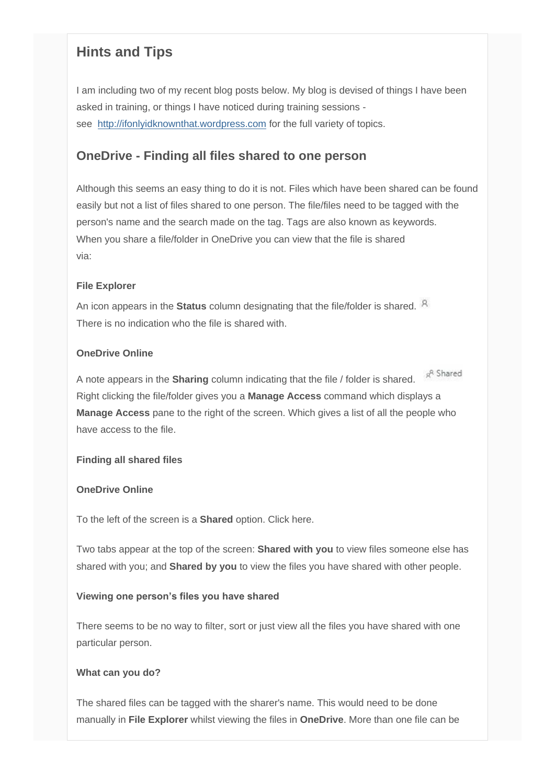# **Hints and Tips**

I am including two of my recent blog posts below. My blog is devised of things I have been asked in training, or things I have noticed during training sessions see [http://ifonlyidknownthat.wordpress.com](http://ifonlyidknownthat.wordpress.com/) for the full variety of topics.

### **OneDrive - Finding all files shared to one person**

Although this seems an easy thing to do it is not. Files which have been shared can be found easily but not a list of files shared to one person. The file/files need to be tagged with the person's name and the search made on the tag. Tags are also known as keywords. When you share a file/folder in OneDrive you can view that the file is shared via:

#### **File Explorer**

An icon appears in the **Status** column designating that the file/folder is shared. There is no indication who the file is shared with.

#### **OneDrive Online**

<sub>R</sub>R Shared A note appears in the **Sharing** column indicating that the file / folder is shared. Right clicking the file/folder gives you a **Manage Access** command which displays a **Manage Access** pane to the right of the screen. Which gives a list of all the people who have access to the file.

#### **Finding all shared files**

#### **OneDrive Online**

To the left of the screen is a **Shared** option. Click here.

Two tabs appear at the top of the screen: **Shared with you** to view files someone else has shared with you; and **Shared by you** to view the files you have shared with other people.

#### **Viewing one person's files you have shared**

There seems to be no way to filter, sort or just view all the files you have shared with one particular person.

#### **What can you do?**

The shared files can be tagged with the sharer's name. This would need to be done manually in **File Explorer** whilst viewing the files in **OneDrive**. More than one file can be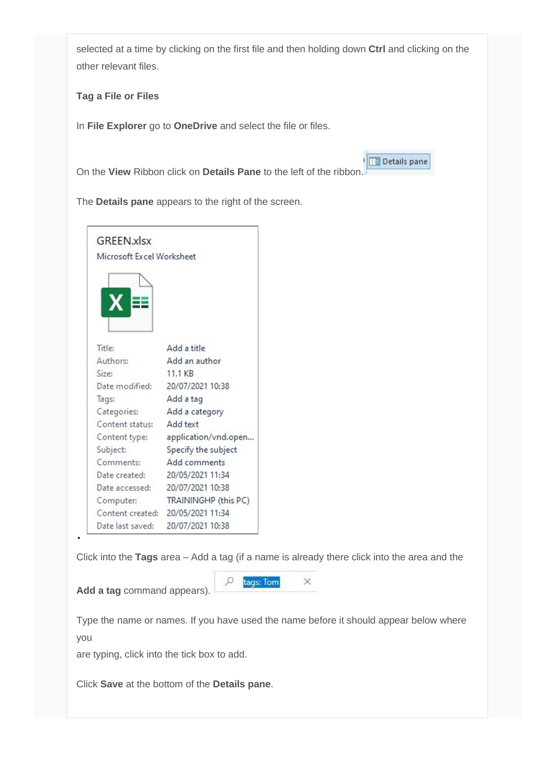selected at a time by clicking on the first file and then holding down **Ctrl** and clicking on the other relevant files.

Details pane

**Tag a File or Files**

In **File Explorer** go to **OneDrive** and select the file or files.

On the **View** Ribbon click on **Details Pane** to the left of the ribbon.

The **Details pane** appears to the right of the screen.



Click into the **Tags** area – Add a tag (if a name is already there click into the area and the

 $\circ$ 

**Add a tag** command appears).

tags: Tom  $\times$ 

Type the name or names. If you have used the name before it should appear below where you

are typing, click into the tick box to add.

Click **Save** at the bottom of the **Details pane**.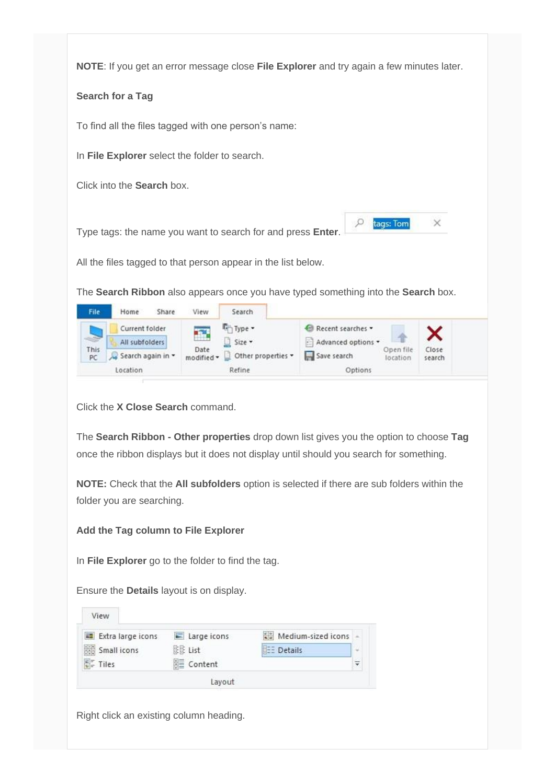**NOTE**: If you get an error message close **File Explorer** and try again a few minutes later.

#### **Search for a Tag**

To find all the files tagged with one person's name:

In **File Explorer** select the folder to search.

Click into the **Search** box.

Type tags: the name you want to search for and press **Enter**.

All the files tagged to that person appear in the list below.

The **Search Ribbon** also appears once you have typed something into the **Search** box.

| File                      | Share<br>Home                                       | View<br>Search                                                     |                                                                             |                      |
|---------------------------|-----------------------------------------------------|--------------------------------------------------------------------|-----------------------------------------------------------------------------|----------------------|
| <b>SEPT</b><br>This<br>PC | Current folder<br>All subfolders<br>Search again in | Type -<br>a in<br>Size *<br>Date<br>Other properties<br>modified * | Recent searches<br>Advanced options<br>Open file<br>Save search<br>location | ~<br>Close<br>search |
|                           | Location                                            | Refine                                                             | Options                                                                     |                      |

tags: Tom

 $\times$ 

O

Click the **X Close Search** command.

The **Search Ribbon - Other properties** drop down list gives you the option to choose **Tag**  once the ribbon displays but it does not display until should you search for something.

**NOTE:** Check that the **All subfolders** option is selected if there are sub folders within the folder you are searching.

#### **Add the Tag column to File Explorer**

In **File Explorer** go to the folder to find the tag.

Ensure the **Details** layout is on display.

| Extra large icons | $\equiv$ Large icons | Medium-sized icons |   |
|-------------------|----------------------|--------------------|---|
| Small icons       | 除住 List              | <b>BEE</b> Details | w |
| $E_F =$ Tiles     | 图 Content            |                    | ╤ |

Right click an existing column heading.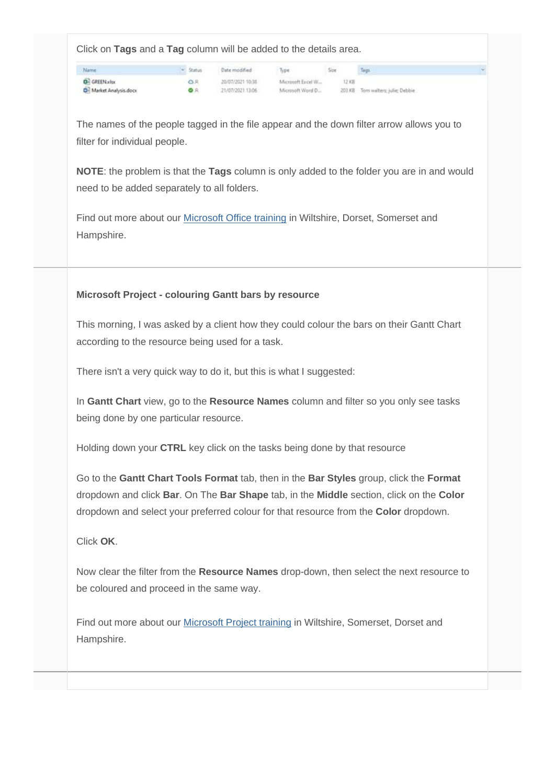Click on **Tags** and a **Tag** column will be added to the details area.

Name **D**<sup>2</sup> GREEN.xlsx **D**<sup>1</sup> Market Analysis.docx  $\sim$  Status Date modified

Type Size Tags

0.8 20/07/2021 10:18 Microsoft Excel W... 12 KB<br>
9 A 21/07/2021 13:06 Microsoft Word D... 203 KB Tom walters; julie; Debbie

The names of the people tagged in the file appear and the down filter arrow allows you to filter for individual people.

**NOTE**: the problem is that the **Tags** column is only added to the folder you are in and would need to be added separately to all folders.

Find out more about our [Microsoft Office training](http://www.archwayct.co.uk/microsoft-office-training) in Wiltshire, Dorset, Somerset and Hampshire.

### **Microsoft Project - colouring Gantt bars by resource**

This morning, I was asked by a client how they could colour the bars on their Gantt Chart according to the resource being used for a task.

There isn't a very quick way to do it, but this is what I suggested:

In **Gantt Chart** view, go to the **Resource Names** column and filter so you only see tasks being done by one particular resource.

Holding down your **CTRL** key click on the tasks being done by that resource

Go to the **Gantt Chart Tools Format** tab, then in the **Bar Styles** group, click the **Format** dropdown and click **Bar**. On The **Bar Shape** tab, in the **Middle** section, click on the **Color** dropdown and select your preferred colour for that resource from the **Color** dropdown.

Click **OK**.

Now clear the filter from the **Resource Names** drop-down, then select the next resource to be coloured and proceed in the same way.

Find out more about our [Microsoft Project training](http://www.archwayct.co.uk/it-training/microsoft-project-training) in Wiltshire, Somerset, Dorset and Hampshire.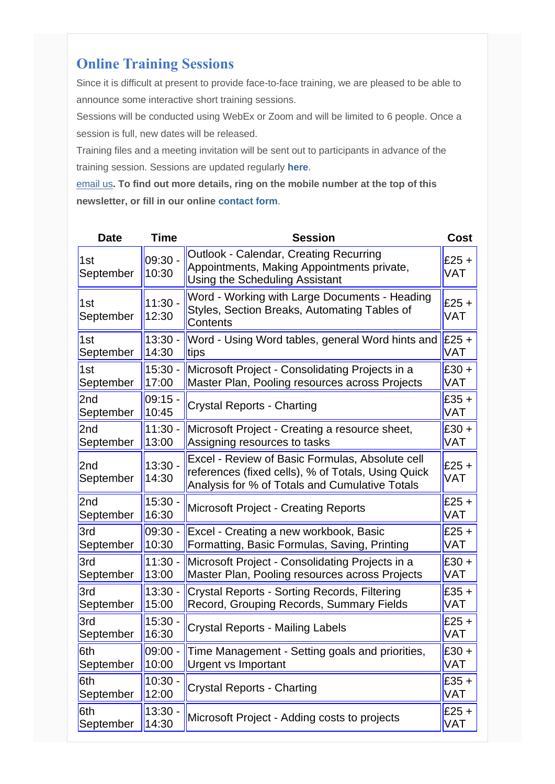# **Online Training Sessions**

Since it is difficult at present to provide face-to-face training, we are pleased to be able to announce some interactive short training sessions.

Sessions will be conducted using WebEx or Zoom and will be limited to 6 people. Once a session is full, new dates will be released.

Training files and a meeting invitation will be sent out to participants in advance of the training session. Sessions are updated regularly **[here](http://www.archwayct.co.uk/online-training)**.

[email us](mailto:janet@archwayct.co.uk?subject=Online%20training)**. To find out more details, ring on the mobile number at the top of this newsletter, or fill in our online [contact form](http://www.archwayct.co.uk/contact)**.

| <b>Date</b>      | <b>Time</b>        | <b>Session</b>                                                                                                                                          | <b>Cost</b>           |
|------------------|--------------------|---------------------------------------------------------------------------------------------------------------------------------------------------------|-----------------------|
| 1st<br>September | $09:30 -$<br>10:30 | Outlook - Calendar, Creating Recurring<br>Appointments, Making Appointments private,<br>Using the Scheduling Assistant                                  | $£25 +$<br><b>VAT</b> |
| 1st<br>September | $11:30 -$<br>12:30 | Word - Working with Large Documents - Heading<br>Styles, Section Breaks, Automating Tables of<br>Contents                                               | $E25 +$<br><b>VAT</b> |
| 1st              | $13:30 -$          | Word - Using Word tables, general Word hints and                                                                                                        | $E25 +$               |
| September        | 14:30              | tips                                                                                                                                                    | VAT                   |
| 1st              | $15:30 -$          | Microsoft Project - Consolidating Projects in a                                                                                                         | $£30 +$               |
| September        | 17:00              | Master Plan, Pooling resources across Projects                                                                                                          | VAT                   |
| 2nd              | $09:15 -$          | Crystal Reports - Charting                                                                                                                              | $£35 +$               |
| September        | 10:45              |                                                                                                                                                         | <b>VAT</b>            |
| 2nd              | $11:30 -$          | Microsoft Project - Creating a resource sheet,                                                                                                          | $£30 +$               |
| September        | 13:00              | Assigning resources to tasks                                                                                                                            | <b>VAT</b>            |
| 2nd<br>September | $13:30 -$<br>14:30 | Excel - Review of Basic Formulas, Absolute cell<br>references (fixed cells), % of Totals, Using Quick<br>Analysis for % of Totals and Cumulative Totals | $£25 +$<br><b>VAT</b> |
| 2nd              | $15:30 -$          | <b>Microsoft Project - Creating Reports</b>                                                                                                             | $£25 +$               |
| September        | 16:30              |                                                                                                                                                         | <b>VAT</b>            |
| 3rd              | $09:30 -$          | Excel - Creating a new workbook, Basic                                                                                                                  | $£25 +$               |
| September        | 10:30              | Formatting, Basic Formulas, Saving, Printing                                                                                                            | VAT                   |
| 3rd              | $11:30 -$          | Microsoft Project - Consolidating Projects in a                                                                                                         | $£30 +$               |
| September        | 13:00              | Master Plan, Pooling resources across Projects                                                                                                          | VAT                   |
| 3rd              | $13:30 -$          | Crystal Reports - Sorting Records, Filtering                                                                                                            | $£35 +$               |
| September        | 15:00              | Record, Grouping Records, Summary Fields                                                                                                                | <b>VAT</b>            |
| 3rd              | $15:30 -$          | Crystal Reports - Mailing Labels                                                                                                                        | $E25 +$               |
| September        | 16:30              |                                                                                                                                                         | VAT                   |
| 6th              | 09:00 -            | Time Management - Setting goals and priorities,                                                                                                         | $E30 +$               |
| September        | 10:00              | <b>Urgent vs Important</b>                                                                                                                              | <b>VAT</b>            |
| 6th              | $10:30 -$          | <b>Crystal Reports - Charting</b>                                                                                                                       | $£35 +$               |
| September        | 12:00              |                                                                                                                                                         | <b>VAT</b>            |
| 6th              | $13:30 -$          | Microsoft Project - Adding costs to projects                                                                                                            | $£25 +$               |
| September        | 14:30              |                                                                                                                                                         | <b>VAT</b>            |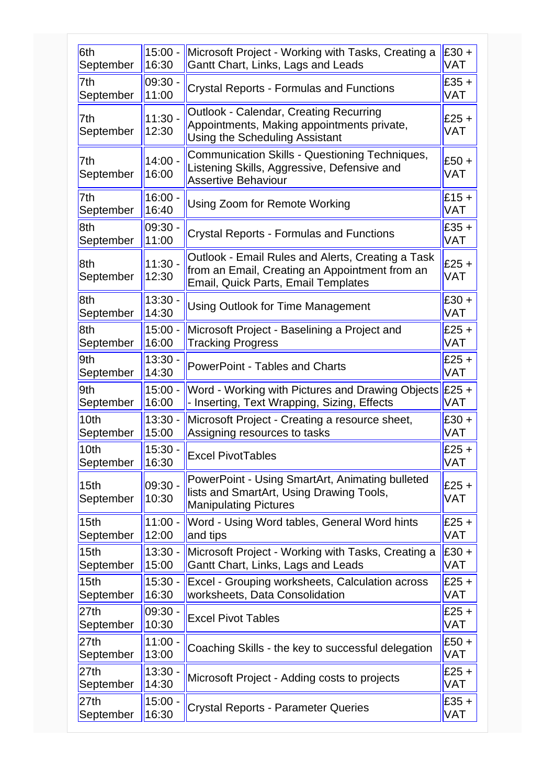| 6th                           | $15:00 -$          | Microsoft Project - Working with Tasks, Creating a                                                                                                | $£30 +$        |
|-------------------------------|--------------------|---------------------------------------------------------------------------------------------------------------------------------------------------|----------------|
| September                     | 16:30              | Gantt Chart, Links, Lags and Leads                                                                                                                | VAT            |
| 7th                           | $09:30 -$          | <b>Crystal Reports - Formulas and Functions</b>                                                                                                   | $£35 +$        |
| September                     | 11:00              |                                                                                                                                                   | <b>VAT</b>     |
| 7th<br>September              | $11:30 -$<br>12:30 | <b>Outlook - Calendar, Creating Recurring</b><br>Appointments, Making appointments private,<br>Using the Scheduling Assistant                     | $£25 +$<br>VAT |
| 7th<br>September              | $14:00 -$<br>16:00 | <b>Communication Skills - Questioning Techniques,</b><br>Listening Skills, Aggressive, Defensive and<br><b>Assertive Behaviour</b>                | $£50 +$<br>VAT |
| 7th                           | $16:00 -$          | Using Zoom for Remote Working                                                                                                                     | $£15 +$        |
| September                     | 16:40              |                                                                                                                                                   | <b>VAT</b>     |
| 8th                           | 09:30              | <b>Crystal Reports - Formulas and Functions</b>                                                                                                   | $£35 +$        |
| September                     | 11:00              |                                                                                                                                                   | <b>VAT</b>     |
| 8th<br>September              | $11:30 -$<br>12:30 | Outlook - Email Rules and Alerts, Creating a Task<br>from an Email, Creating an Appointment from an<br><b>Email, Quick Parts, Email Templates</b> | $£25 +$<br>VAT |
| 8th                           | $13:30 -$          | <b>Using Outlook for Time Management</b>                                                                                                          | $£30 +$        |
| September                     | 14:30              |                                                                                                                                                   | VAT            |
| 8th                           | $15:00 -$          | Microsoft Project - Baselining a Project and                                                                                                      | $£25 +$        |
| September                     | 16:00              | <b>Tracking Progress</b>                                                                                                                          | <b>VAT</b>     |
| 9th                           | $13:30 -$          | <b>PowerPoint - Tables and Charts</b>                                                                                                             | $£25 +$        |
| September                     | 14:30              |                                                                                                                                                   | <b>VAT</b>     |
| 9th                           | $15:00 -$          | Word - Working with Pictures and Drawing Objects                                                                                                  | $£25 +$        |
| September                     | 16:00              | - Inserting, Text Wrapping, Sizing, Effects                                                                                                       | VAT            |
| 10th                          | $13:30 -$          | Microsoft Project - Creating a resource sheet,                                                                                                    | $£30 +$        |
| September                     | 15:00              | Assigning resources to tasks                                                                                                                      | <b>VAT</b>     |
| 10th                          | $15:30 -$          | <b>Excel PivotTables</b>                                                                                                                          | $£25 +$        |
| September                     | 16:30              |                                                                                                                                                   | <b>VAT</b>     |
| 15 <sub>th</sub><br>September | $09:30 -$<br>10:30 | PowerPoint - Using SmartArt, Animating bulleted<br>lists and SmartArt, Using Drawing Tools,<br><b>Manipulating Pictures</b>                       | $£25 +$<br>VAT |
| 15 <sub>th</sub>              | $11:00 -$          | Word - Using Word tables, General Word hints                                                                                                      | $£25 +$        |
| September                     | 12:00              | and tips                                                                                                                                          | VAT            |
| 15 <sub>th</sub>              | $13:30 -$          | Microsoft Project - Working with Tasks, Creating a                                                                                                | $£30 +$        |
| September                     | 15:00              | Gantt Chart, Links, Lags and Leads                                                                                                                | VAT            |
| 15th                          | $15:30 -$          | Excel - Grouping worksheets, Calculation across                                                                                                   | $£25 +$        |
| September                     | 16:30              | worksheets, Data Consolidation                                                                                                                    | VAT            |
| 27th                          | 09:30 -            | <b>Excel Pivot Tables</b>                                                                                                                         | $£25 +$        |
| September                     | 10:30              |                                                                                                                                                   | <b>VAT</b>     |
| 27th                          | $11:00 -$          | Coaching Skills - the key to successful delegation                                                                                                | $£50 +$        |
| September                     | 13:00              |                                                                                                                                                   | <b>VAT</b>     |
| 27th                          | 13:30.             | Microsoft Project - Adding costs to projects                                                                                                      | $£25 +$        |
| September                     | 14:30              |                                                                                                                                                   | VAT            |
| 27th                          | $15:00 -$          | <b>Crystal Reports - Parameter Queries</b>                                                                                                        | $£35 +$        |
| September                     | 16:30              |                                                                                                                                                   | <b>VAT</b>     |
|                               |                    |                                                                                                                                                   |                |